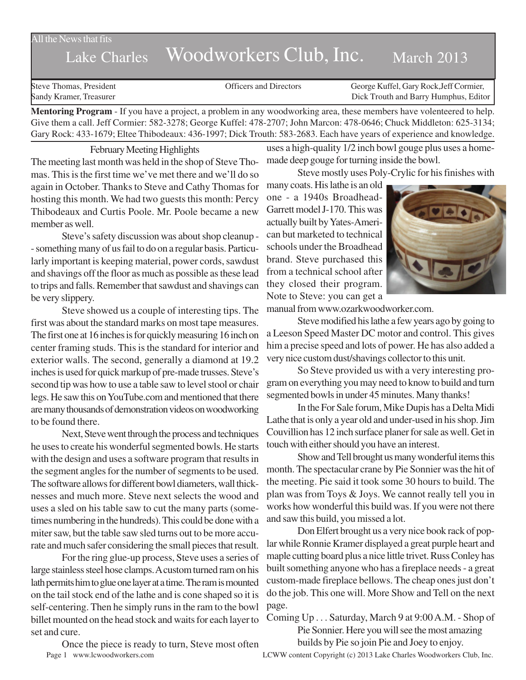## All the News that fits

# Lake Charles Woodworkers Club, Inc. March 2013

Steve Thomas, President Thomas, President Corpus Conservation Conservation Corpus Ceorge Kuffel, Gary Rock, Jeff Cormier, Sandy Kramer, Treasurer Dick Trouth and Barry Humphus, Editor

**Mentoring Program** - If you have a project, a problem in any woodworking area, these members have volenteered to help. Give them a call. Jeff Cormier: 582-3278; George Kuffel: 478-2707; John Marcon: 478-0646; Chuck Middleton: 625-3134; Gary Rock: 433-1679; Eltee Thibodeaux: 436-1997; Dick Trouth: 583-2683. Each have years of experience and knowledge.

#### February Meeting Highlights

The meeting last month was held in the shop of Steve Thomas. This is the first time we've met there and we'll do so again in October. Thanks to Steve and Cathy Thomas for hosting this month. We had two guests this month: Percy Thibodeaux and Curtis Poole. Mr. Poole became a new member as well.

Steve's safety discussion was about shop cleanup - - something many of us fail to do on a regular basis. Particularly important is keeping material, power cords, sawdust and shavings off the floor as much as possible as these lead to trips and falls. Remember that sawdust and shavings can be very slippery.

Steve showed us a couple of interesting tips. The first was about the standard marks on most tape measures. The first one at 16 inches is for quickly measuring 16 inch on center framing studs. This is the standard for interior and exterior walls. The second, generally a diamond at 19.2 inches is used for quick markup of pre-made trusses. Steve's second tip was how to use a table saw to level stool or chair legs. He saw this on YouTube.com and mentioned that there are many thousands of demonstration videos on woodworking to be found there.

Next, Steve went through the process and techniques he uses to create his wonderful segmented bowls. He starts with the design and uses a software program that results in the segment angles for the number of segments to be used. The software allows for different bowl diameters, wall thicknesses and much more. Steve next selects the wood and uses a sled on his table saw to cut the many parts (sometimes numbering in the hundreds). This could be done with a miter saw, but the table saw sled turns out to be more accurate and much safer considering the small pieces that result.

For the ring glue-up process, Steve uses a series of large stainless steel hose clamps. A custom turned ram on his lath permits him to glue one layer at a time. The ram is mounted on the tail stock end of the lathe and is cone shaped so it is self-centering. Then he simply runs in the ram to the bowl billet mounted on the head stock and waits for each layer to set and cure.

Page 1 www.lcwoodworkers.com LCWW content Copyright (c) 2013 Lake Charles Woodworkers Club, Inc. Once the piece is ready to turn, Steve most often

uses a high-quality 1/2 inch bowl gouge plus uses a homemade deep gouge for turning inside the bowl.

Steve mostly uses Poly-Crylic for his finishes with

many coats. His lathe is an old one - a 1940s Broadhead-Garrett model J-170. This was actually built by Yates-American but marketed to technical schools under the Broadhead brand. Steve purchased this from a technical school after they closed their program. Note to Steve: you can get a



manual from www.ozarkwoodworker.com.

Steve modified his lathe a few years ago by going to a Leeson Speed Master DC motor and control. This gives him a precise speed and lots of power. He has also added a very nice custom dust/shavings collector to this unit.

So Steve provided us with a very interesting program on everything you may need to know to build and turn segmented bowls in under 45 minutes. Many thanks!

In the For Sale forum, Mike Dupis has a Delta Midi Lathe that is only a year old and under-used in his shop. Jim Couvillion has 12 inch surface planer for sale as well. Get in touch with either should you have an interest.

Show and Tell brought us many wonderful items this month. The spectacular crane by Pie Sonnier was the hit of the meeting. Pie said it took some 30 hours to build. The plan was from Toys & Joys. We cannot really tell you in works how wonderful this build was. If you were not there and saw this build, you missed a lot.

Don Elfert brought us a very nice book rack of poplar while Ronnie Kramer displayed a great purple heart and maple cutting board plus a nice little trivet. Russ Conley has built something anyone who has a fireplace needs - a great custom-made fireplace bellows. The cheap ones just don't do the job. This one will. More Show and Tell on the next page.

Coming Up . . . Saturday, March 9 at 9:00 A.M. - Shop of Pie Sonnier. Here you will see the most amazing

builds by Pie so join Pie and Joey to enjoy.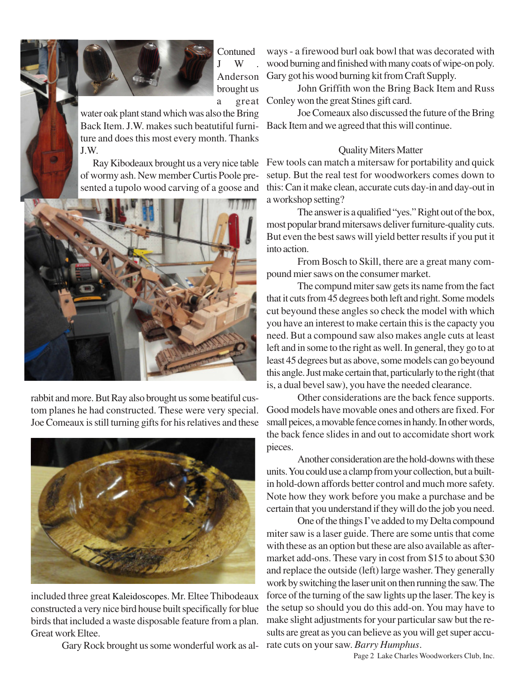



**Contuned**  $I$  W Anderson brought us

water oak plant stand which was also the Bring Back Item. J.W. makes such beatutiful furniture and does this most every month. Thanks J.W.

Ray Kibodeaux brought us a very nice table of wormy ash. New member Curtis Poole presented a tupolo wood carving of a goose and



rabbit and more. But Ray also brought us some beatiful custom planes he had constructed. These were very special. Joe Comeaux is still turning gifts for his relatives and these



included three great Kaleidoscopes. Mr. Eltee Thibodeaux constructed a very nice bird house built specifically for blue birds that included a waste disposable feature from a plan. Great work Eltee.

Gary Rock brought us some wonderful work as al-

ways - a firewood burl oak bowl that was decorated with wood burning and finished with many coats of wipe-on poly. Gary got his wood burning kit from Craft Supply.

a great Conley won the great Stines gift card. John Griffith won the Bring Back Item and Russ

Joe Comeaux also discussed the future of the Bring Back Item and we agreed that this will continue.

## Quality Miters Matter

Few tools can match a mitersaw for portability and quick setup. But the real test for woodworkers comes down to this: Can it make clean, accurate cuts day-in and day-out in a workshop setting?

The answer is a qualified "yes." Right out of the box, most popular brand mitersaws deliver furniture-quality cuts. But even the best saws will yield better results if you put it into action.

From Bosch to Skill, there are a great many compound mier saws on the consumer market.

The compund miter saw gets its name from the fact that it cuts from 45 degrees both left and right. Some models cut beyound these angles so check the model with which you have an interest to make certain this is the capacty you need. But a compound saw also makes angle cuts at least left and in some to the right as well. In general, they go to at least 45 degrees but as above, some models can go beyound this angle. Just make certain that, particularly to the right (that is, a dual bevel saw), you have the needed clearance.

Other considerations are the back fence supports. Good models have movable ones and others are fixed. For small peices, a movable fence comes in handy. In other words, the back fence slides in and out to accomidate short work pieces.

Another consideration are the hold-downs with these units. You could use a clamp from your collection, but a builtin hold-down affords better control and much more safety. Note how they work before you make a purchase and be certain that you understand if they will do the job you need.

One of the things I've added to my Delta compound miter saw is a laser guide. There are some untis that come with these as an option but these are also available as aftermarket add-ons. These vary in cost from \$15 to about \$30 and replace the outside (left) large washer. They generally work by switching the laser unit on then running the saw. The force of the turning of the saw lights up the laser. The key is the setup so should you do this add-on. You may have to make slight adjustments for your particular saw but the results are great as you can believe as you will get super accurate cuts on your saw. *Barry Humphus*.

Page 2 Lake Charles Woodworkers Club, Inc.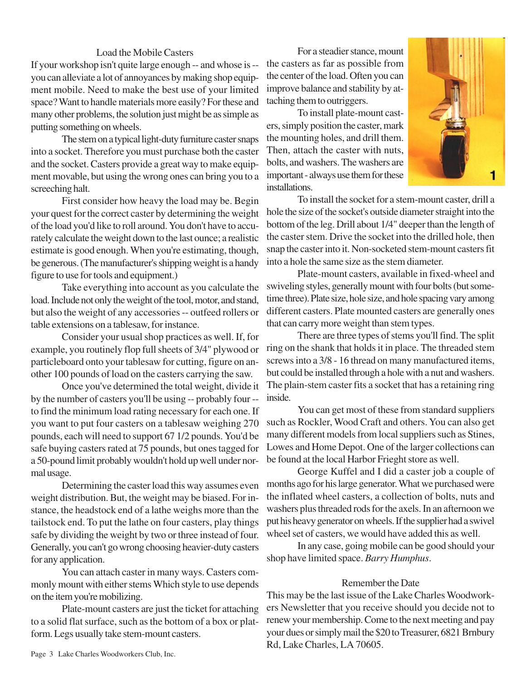## Load the Mobile Casters

If your workshop isn't quite large enough -- and whose is - you can alleviate a lot of annoyances by making shop equipment mobile. Need to make the best use of your limited space? Want to handle materials more easily? For these and many other problems, the solution just might be as simple as putting something on wheels.

The stem on a typical light-duty furniture caster snaps into a socket. Therefore you must purchase both the caster and the socket. Casters provide a great way to make equipment movable, but using the wrong ones can bring you to a screeching halt.

First consider how heavy the load may be. Begin your quest for the correct caster by determining the weight of the load you'd like to roll around. You don't have to accurately calculate the weight down to the last ounce; a realistic estimate is good enough. When you're estimating, though, be generous. (The manufacturer's shipping weight is a handy figure to use for tools and equipment.)

Take everything into account as you calculate the load. Include not only the weight of the tool, motor, and stand, but also the weight of any accessories -- outfeed rollers or table extensions on a tablesaw, for instance.

Consider your usual shop practices as well. If, for example, you routinely flop full sheets of 3/4" plywood or particleboard onto your tablesaw for cutting, figure on another 100 pounds of load on the casters carrying the saw.

Once you've determined the total weight, divide it by the number of casters you'll be using -- probably four - to find the minimum load rating necessary for each one. If you want to put four casters on a tablesaw weighing 270 pounds, each will need to support 67 1/2 pounds. You'd be safe buying casters rated at 75 pounds, but ones tagged for a 50-pound limit probably wouldn't hold up well under normal usage.

Determining the caster load this way assumes even weight distribution. But, the weight may be biased. For instance, the headstock end of a lathe weighs more than the tailstock end. To put the lathe on four casters, play things safe by dividing the weight by two or three instead of four. Generally, you can't go wrong choosing heavier-duty casters for any application.

You can attach caster in many ways. Casters commonly mount with either stems Which style to use depends on the item you're mobilizing.

Plate-mount casters are just the ticket for attaching to a solid flat surface, such as the bottom of a box or platform. Legs usually take stem-mount casters.

For a steadier stance, mount the casters as far as possible from the center of the load. Often you can improve balance and stability by attaching them to outriggers.

To install plate-mount casters, simply position the caster, mark the mounting holes, and drill them. Then, attach the caster with nuts, bolts, and washers. The washers are important - always use them for these installations.



To install the socket for a stem-mount caster, drill a hole the size of the socket's outside diameter straight into the bottom of the leg. Drill about 1/4" deeper than the length of the caster stem. Drive the socket into the drilled hole, then snap the caster into it. Non-socketed stem-mount casters fit into a hole the same size as the stem diameter.

Plate-mount casters, available in fixed-wheel and swiveling styles, generally mount with four bolts (but sometime three). Plate size, hole size, and hole spacing vary among different casters. Plate mounted casters are generally ones that can carry more weight than stem types.

There are three types of stems you'll find. The split ring on the shank that holds it in place. The threaded stem screws into a 3/8 - 16 thread on many manufactured items, but could be installed through a hole with a nut and washers. The plain-stem caster fits a socket that has a retaining ring inside.

You can get most of these from standard suppliers such as Rockler, Wood Craft and others. You can also get many different models from local suppliers such as Stines, Lowes and Home Depot. One of the larger collections can be found at the local Harbor Frieght store as well.

George Kuffel and I did a caster job a couple of months ago for his large generator. What we purchased were the inflated wheel casters, a collection of bolts, nuts and washers plus threaded rods for the axels. In an afternoon we put his heavy generator on wheels. If the supplier had a swivel wheel set of casters, we would have added this as well.

In any case, going mobile can be good should your shop have limited space. *Barry Humphus*.

## Remember the Date

This may be the last issue of the Lake Charles Woodworkers Newsletter that you receive should you decide not to renew your membership. Come to the next meeting and pay your dues or simply mail the \$20 to Treasurer, 6821 Brnbury Rd, Lake Charles, LA 70605.